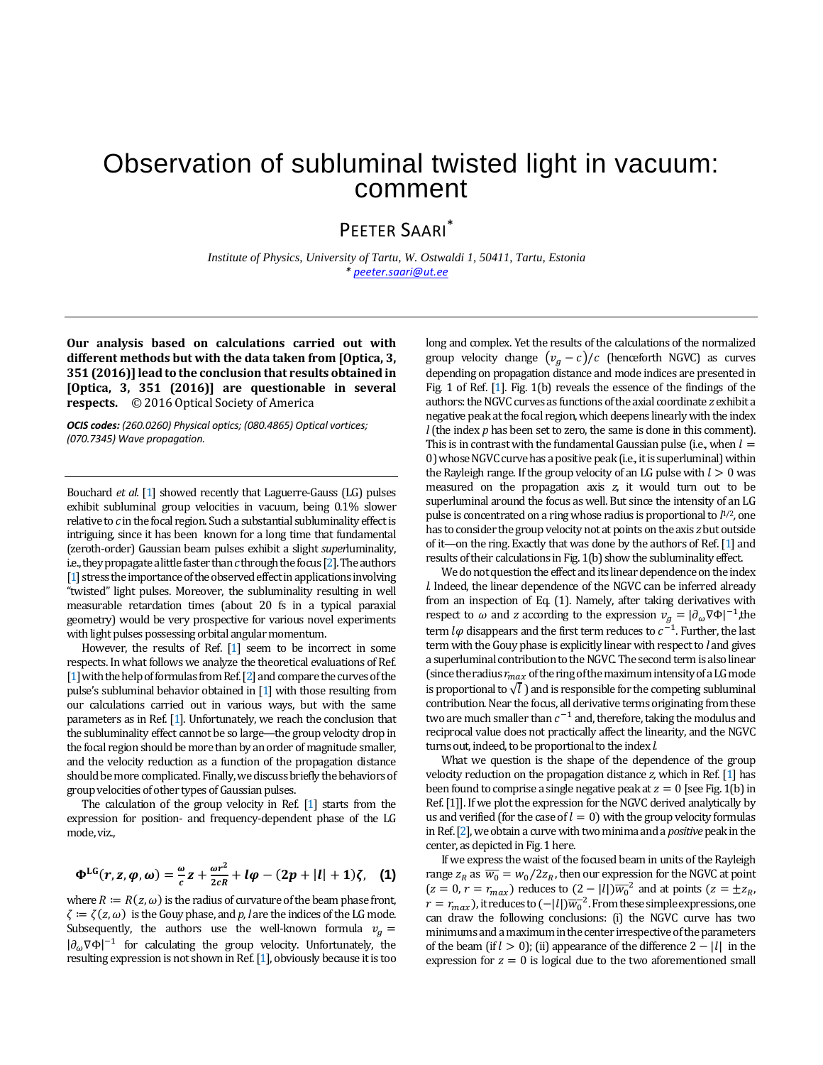## Observation of subluminal twisted light in vacuum: comment

## PEETER SAARI\*

*Institute of Physics, University of Tartu, W. Ostwaldi 1, 50411, Tartu, Estonia [\\* peeter.saari@ut.ee](mailto:peeter.saari@ut.ee)*

**Our analysis based on calculations carried out with different methods but with the data taken from [Optica, 3, 351 (2016)] lead to the conclusion that results obtained in [Optica, 3, 351 (2016)] are questionable in several respects.** © 2016 Optical Society of America

*OCIS codes: (260.0260) Physical optics; (080.4865) Optical vortices; (070.7345) Wave propagation.*

Bouchard *et al.* [\[1\]](#page-2-0) showed recently that Laguerre-Gauss (LG) pulses exhibit subluminal group velocities in vacuum, being 0.1% slower relative to *c* in the focal region. Such a substantial subluminality effect is intriguing, since it has been known for a long time that fundamental (zeroth-order) Gaussian beam pulses exhibit a slight *super*luminality, i.e., they propagatea little faster than *c*through the focus [\[2\]](#page-2-0).The authors [\[1\]](#page-2-0) stress the importance of the observed effect in applications involving "twisted" light pulses. Moreover, the subluminality resulting in well measurable retardation times (about 20 fs in a typical paraxial geometry) would be very prospective for various novel experiments with light pulses possessing orbital angular momentum.

However, the results of Ref. [1] seem to be incorrect in some respects. In what follows we analyze the theoretical evaluations of Ref. [1] with the help of formulas from Ref. [2] and compare the curves of the pulse's subluminal behavior obtained in [1] with those resulting from our calculations carried out in various ways, but with the same parameters as in Ref. [1]. Unfortunately, we reach the conclusion that the subluminality effect cannot be so large—the group velocity drop in the focal region should be more than by an order of magnitude smaller, and the velocity reduction as a function of the propagation distance should be more complicated. Finally, we discuss briefly the behaviors of group velocities of other types of Gaussian pulses.

The calculation of the group velocity in Ref. [1] starts from the expression for position- and frequency-dependent phase of the LG mode, viz.,

$$
\Phi^{\text{LG}}(r, z, \varphi, \omega) = \frac{\omega}{c}z + \frac{\omega r^2}{2cR} + l\varphi - (2p + |l| + 1)\zeta, \quad (1)
$$

where  $R := R(z, \omega)$  is the radius of curvature of the beam phase front,  $\zeta = \zeta(z, \omega)$  is the Gouy phase, and *p*, *l* are the indices of the LG mode. Subsequently, the authors use the well-known formula  $v_a =$  $|\partial_{\omega}\nabla\Phi|^{-1}$  for calculating the group velocity. Unfortunately, the resulting expression is not shown in Ref. [1], obviously because it is too

long and complex. Yet the results of the calculations of the normalized group velocity change  $(v_a - c)/c$  (henceforth NGVC) as curves depending on propagation distance and mode indices are presented in Fig. 1 of Ref. [1]. Fig. 1(b) reveals the essence of the findings of the authors: the NGVC curves as functions of the axial coordinate *z* exhibit a negative peak at the focal region, which deepens linearly with the index *l*(the index *p* has been set to zero, the same is done in this comment). This is in contrast with the fundamental Gaussian pulse (i.e., when  $l =$ 0) whose NGVC curve has a positive peak (i.e., it is superluminal) within the Rayleigh range. If the group velocity of an LG pulse with  $l > 0$  was measured on the propagation axis *z*, it would turn out to be superluminal around the focus as well. But since the intensity of an LG pulse is concentrated on a ring whose radius is proportional to *l*1/2*,* one has to consider the group velocity not at points on the axis *z* but outside of it—on the ring. Exactly that was done by the authors of Ref. [1] and results of their calculations in Fig. 1(b) show the subluminality effect.

We do not question the effect and its linear dependence on the index *l.* Indeed, the linear dependence of the NGVC can be inferred already from an inspection of Eq. (1). Namely, after taking derivatives with respect to  $\omega$  and *z* according to the expression  $v_g = |\partial_{\omega} \nabla \Phi|^{-1}$ , the term  $l\varphi$  disappears and the first term reduces to  $c^{-1}$ . Further, the last term with the Gouy phase is explicitly linear with respect to *l* and gives a superluminal contribution to the NGVC. The second term is also linear (since the radius  $r_{max}$  of the ring of the maximum intensity of a LG mode is proportional to  $\sqrt{l}$  ) and is responsible for the competing subluminal contribution. Near the focus, all derivative terms originating from these two are much smaller than  $c^{-1}$  and, therefore, taking the modulus and reciprocal value does not practically affect the linearity, and the NGVC turns out, indeed, to be proportional to the index *l.*

What we question is the shape of the dependence of the group velocity reduction on the propagation distance *z,* which in Ref. [1] has been found to comprise a single negative peak at  $z = 0$  [see Fig. 1(b) in Ref. [1]]. If we plot the expression for the NGVC derived analytically by us and verified (for the case of  $l = 0$ ) with the group velocity formulas in Ref. [2], we obtain a curve with two minima and a *positive* peak in the center, as depicted in Fig. 1 here.

If we express the waist of the focused beam in units of the Rayleigh range  $z_R$  as  $\overline{w_0} = w_0/2z_R$ , then our expression for the NGVC at point  $(z = 0, r = r_{max})$  reduces to  $(2 - |l|)\overline{w_0}^2$  and at points  $(z = \pm z_R)$ ,  $r = r_{max}$ ), it reduces to  $(-|l|)\overline{w_0}^2$ . From these simple expressions, one can draw the following conclusions: (i) the NGVC curve has two minimumsand a maximum in the center irrespective of the parameters of the beam (if  $l > 0$ ); (ii) appearance of the difference  $2 - |l|$  in the expression for  $z = 0$  is logical due to the two aforementioned small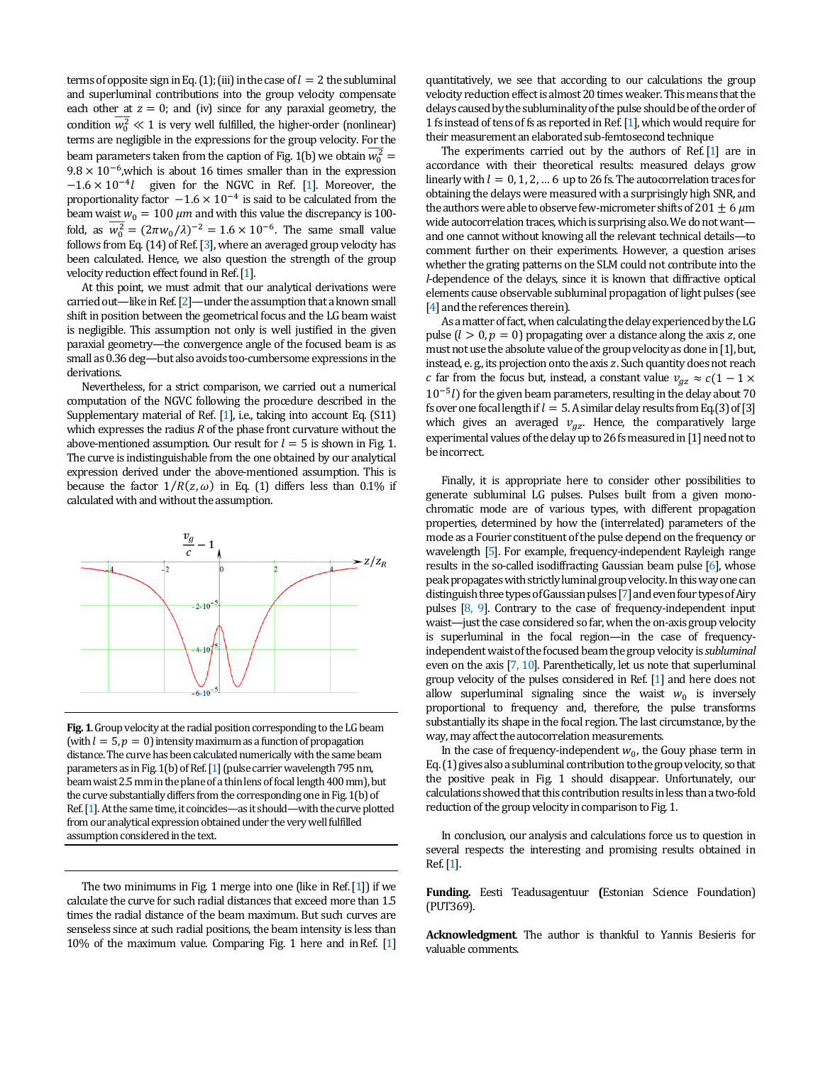terms of opposite sign in Eq. (1); (iii) in the case of  $l = 2$  the subluminal and superluminal contributions into the group velocity compensate each other at  $z = 0$ ; and (iv) since for any paraxial geometry, the condition  $\overline{w_0^2} \ll 1$  is very well fulfilled, the higher-order (nonlinear) terms are negligible in the expressions for the group velocity. For the beam parameters taken from the caption of Fig. 1(b) we obtain  $\overline{w_0^2}$  =  $9.8 \times 10^{-6}$ , which is about 16 times smaller than in the expression  $-1.6 \times 10^{-4}$ l given for the NGVC in Ref. [1]. Moreover, the proportionality factor  $-1.6 \times 10^{-4}$  is said to be calculated from the beam waist  $w_0 = 100 \ \mu m$  and with this value the discrepancy is 100fold, as  $\overline{w_0^2} = (2\pi w_0/\lambda)^{-2} = 1.6 \times 10^{-6}$ . The same small value follows from Eq. (14) of Ref. [3], where an averaged group velocity has been calculated. Hence, we also question the strength of the group velocity reduction effect found in Ref.[1].

At this point, we must admit that our analytical derivations were carried out—like in Ref. [2]—under the assumption that a known small shift in position between the geometrical focus and the LG beam waist is negligible. This assumption not only is well justified in the given paraxial geometry—the convergence angle of the focused beam is as small as 0.36 deg—but also avoids too-cumbersome expressions in the derivations.

Nevertheless, for a strict comparison, we carried out a numerical computation of the NGVC following the procedure described in the Supplementary material of Ref. [1], i.e., taking into account Eq. (S11) which expresses the radius *R* of the phase front curvature without the above-mentioned assumption. Our result for  $l = 5$  is shown in Fig. 1. The curve is indistinguishable from the one obtained by our analytical expression derived under the above-mentioned assumption. This is because the factor  $1/R(z, \omega)$  in Eq. (1) differs less than 0.1% if calculated with and without the assumption.



**Fig. 1**. Group velocity at the radial position corresponding to the LG beam (with  $l = 5$ ,  $p = 0$ ) intensity maximum as a function of propagation distance. The curve has been calculated numerically with the same beam parameters as in Fig. 1(b) of Ref. [1] (pulse carrier wavelength 795 nm, beam waist 2.5 mm in the plane of a thin lens of focal length 400 mm), but the curve substantially differs from the corresponding one in Fig. 1(b) of Ref. [1]. At the same time, it coincides—as it should—with the curve plotted from our analytical expression obtained under the very well fulfilled assumption considered in the text.

The two minimums in Fig. 1 merge into one (like in Ref.[1]) if we calculate the curve for such radial distances that exceed more than 1.5 times the radial distance of the beam maximum. But such curves are senseless since at such radial positions, the beam intensity is less than 10% of the maximum value. Comparing Fig. 1 here and inRef. [1]

quantitatively, we see that according to our calculations the group velocity reduction effect is almost 20 times weaker.This means that the delays caused by the subluminality of the pulse should be of the order of 1 fs instead of tens of fs as reported in Ref.[1], which would require for their measurement an elaborated sub-femtosecond technique

The experiments carried out by the authors of Ref.[1] are in accordance with their theoretical results: measured delays grow linearly with  $l = 0, 1, 2, ...$  6 up to 26 fs. The autocorrelation traces for obtaining the delays were measured with a surprisingly high SNR, and the authors were able to observe few-micrometer shifts of 201  $\pm$  6  $\mu$ m wide autocorrelation traces, which is surprising also. We do not want and one cannot without knowing all the relevant technical details—to comment further on their experiments. However, a question arises whether the grating patterns on the SLM could not contribute into the *l*-dependence of the delays, since it is known that diffractive optical elements cause observable subluminal propagation of light pulses (see [4] and the references therein].

As a matter of fact, when calculating the delay experienced by the LG pulse  $(l > 0, p = 0)$  propagating over a distance along the axis z, one must not use the absolute value of the group velocity as done in[1], but, instead, e. g., its projection onto the axis z. Such quantity does not reach *c* far from the focus but, instead, a constant value  $v_{az} \approx c(1 - 1 \times$  $10^{-5}$ *l*) for the given beam parameters, resulting in the delay about 70 fs over one focal length if  $l = 5$ . A similar delay results from Eq.(3) of [3] which gives an averaged  $v_{gz}$ . Hence, the comparatively large experimental values of the delay up to 26 fs measured in [1] need not to be incorrect.

Finally, it is appropriate here to consider other possibilities to generate subluminal LG pulses. Pulses built from a given monochromatic mode are of various types, with different propagation properties, determined by how the (interrelated) parameters of the mode as a Fourier constituent of the pulse depend on the frequency or wavelength [5]. For example, frequency-independent Rayleigh range results in the so-called isodiffracting Gaussian beam pulse [6], whose peak propagates with strictly luminal group velocity. In this way one can distinguish three types of Gaussian pulses [7] and even four types of Airy pulses [8, 9]. Contrary to the case of frequency-independent input waist—just the case considered so far, when the on-axis group velocity is superluminal in the focal region—in the case of frequencyindependent waist of the focused beam the group velocity is *subluminal* even on the axis [7, 10]. Parenthetically, let us note that superluminal group velocity of the pulses considered in Ref. [1] and here does not allow superluminal signaling since the waist  $w_0$  is inversely proportional to frequency and, therefore, the pulse transforms substantially its shape in the focal region. The last circumstance, by the way, may affect the autocorrelation measurements.

In the case of frequency-independent  $w_0$ , the Gouy phase term in Eq.(1) gives also a subluminal contribution to the group velocity, so that the positive peak in Fig. 1 should disappear. Unfortunately, our calculations showed that this contribution results in less than a two-fold reduction of the group velocity in comparison to Fig.1.

In conclusion, our analysis and calculations force us to question in several respects the interesting and promising results obtained in Ref.[1].

**Funding.** Eesti Teadusagentuur **(**Estonian Science Foundation) (PUT369).

**Acknowledgment**. The author is thankful to Yannis Besieris for valuable comments.